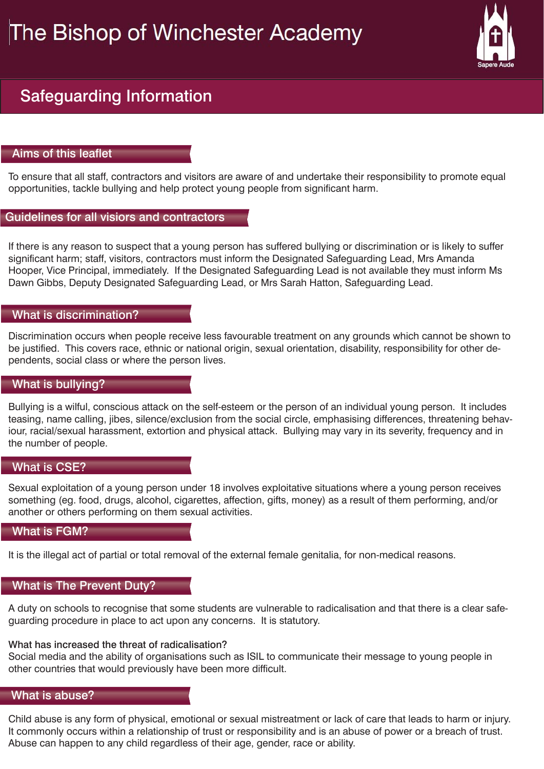# The Bishop of Winchester Academy



# Safeguarding Information

## Aims of this leaflet

To ensure that all staff, contractors and visitors are aware of and undertake their responsibility to promote equal opportunities, tackle bullying and help protect young people from significant harm.

### What is abuse?

Child abuse is any form of physical, emotional or sexual mistreatment or lack of care that leads to harm or injury. It commonly occurs within a relationship of trust or responsibility and is an abuse of power or a breach of trust. Abuse can happen to any child regardless of their age, gender, race or ability.

#### Guidelines for all visiors and contractors

If there is any reason to suspect that a young person has suffered bullying or discrimination or is likely to suffer significant harm; staff, visitors, contractors must inform the Designated Safeguarding Lead, Mrs Amanda Hooper, Vice Principal, immediately. If the Designated Safeguarding Lead is not available they must inform Ms Dawn Gibbs, Deputy Designated Safeguarding Lead, or Mrs Sarah Hatton, Safeguarding Lead.

#### What is discrimination?

Discrimination occurs when people receive less favourable treatment on any grounds which cannot be shown to be justified. This covers race, ethnic or national origin, sexual orientation, disability, responsibility for other dependents, social class or where the person lives.

# What is bullying?

Bullying is a wilful, conscious attack on the self-esteem or the person of an individual young person. It includes teasing, name calling, jibes, silence/exclusion from the social circle, emphasising differences, threatening behaviour, racial/sexual harassment, extortion and physical attack. Bullying may vary in its severity, frequency and in the number of people.

#### What is CSE?

Sexual exploitation of a young person under 18 involves exploitative situations where a young person receives something (eg. food, drugs, alcohol, cigarettes, affection, gifts, money) as a result of them performing, and/or another or others performing on them sexual activities.

#### What is FGM?

It is the illegal act of partial or total removal of the external female genitalia, for non-medical reasons.

A duty on schools to recognise that some students are vulnerable to radicalisation and that there is a clear safeguarding procedure in place to act upon any concerns. It is statutory.

#### What has increased the threat of radicalisation?

Social media and the ability of organisations such as ISIL to communicate their message to young people in other countries that would previously have been more difficult.